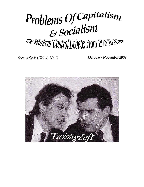# Problems Of Capitalism The Workers' Control Debate: From 1975 To Now

Second Series, Vol. 1. No. 5

October - November 2008

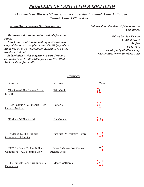## *Problems of Capitalism & Socialism*

#### *The Debate on Workers' Control. From Discussion to Denial. From Failure to Fallout. From 1975 to Now.*

| <b>SECOND SERIES, VOLUME ONE, NUMBER FIVE</b>                                                                                                                                                                                                                                                                                                                                                                                        | <b>Published by: Problems Of Communism</b><br>Committee.                                                                                                        |
|--------------------------------------------------------------------------------------------------------------------------------------------------------------------------------------------------------------------------------------------------------------------------------------------------------------------------------------------------------------------------------------------------------------------------------------|-----------------------------------------------------------------------------------------------------------------------------------------------------------------|
| Multi-user subscription rates available from the<br>editor.<br>Next Issue—Individuals wishing to ensure their<br>copy of the next issue, please send $\pounds 4$ ; $\pounds 6$ (payable to<br>Athol Books) to 33 Athol Street, Belfast, BT12 4GX,<br><b>Northern Ireland.</b><br>Subscription to this magazine in PDF format is<br>available, price $\epsilon$ 1.50; £1.00, per issue. See Athol<br><b>Books website for details</b> | <b>Edited by: Joe Keenan</b><br><b>33 Athol Street</b><br><b>Belfast</b><br><b>BT12 4GX</b><br>email: joe @atholbooks.org<br>website: http://www.atholbooks.org |

*Contents*

| <i>Article</i>                                                    | Au <u>thor</u>                             | Page            |
|-------------------------------------------------------------------|--------------------------------------------|-----------------|
| The Rise of The Labour Party<br>(1916)                            | <b>Will Craik</b>                          | $\overline{3}$  |
| New Labour: Old Liberals. New<br>Unions: No Use.                  | Editorial                                  | $\underline{6}$ |
| Workers Of The World                                              | Jim Connell                                | <u>18</u>       |
| Evidence To The Bullock<br>Committee of Inquiry                   | Institute Of Workers' Control              | 19              |
| <b>IWC Evidence To The Bullock</b><br>Committee-A Dissenting View | Nina Fishman, Joe Keenan,<br>Richard Jones | 27              |
| The Bullock Report On Industrial<br>Democracy                     | Manus O'Riordan                            | 29              |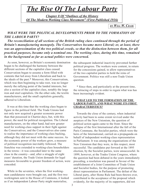# <span id="page-2-0"></span>*The Rise Of The Labour Party*

*Chapter 8 Of "Outlines of the History Of The Modern Working Class Movement" (First Published 1916)*

*by Will W. Craik*

#### *WHAT WERE THE POLITICAL DEVELOPMENTS PRIOR TO THE FORMATION OF THE LABOUR PARTY?*

*The reconciliation of all sections of the British ruling class continued through the period of Britain's manufacturing monopoly. The Conservatives became more Liberal; or, at least, there was an approximation of the two political creeds, so that the distinction between them, for all practical purposes, became only a nominal one. The working class, during this time, remained in the background as far as actual politics were concerned.*

As soon, however, as Britain's economic domination began to be challenged the harmony between the different sections of the capitalist class ceased. Conservatism began to assume a form filled with contents that led away from Liberalism and back to the ideals of the past.\* Moreover, this Conserrvatism, which was then beginning to take root, was no longer merely the rallying point of the landed interests, but also a section of the capitalist class, notably the large iron and steel capitalists. On the other side, the textile manufacturers, and the small capitalists generally, adhered to Liberalism.

It was at this time that the working class began to figure in the political field. The Trade Unions had not only now acquired a greater economic power than that possessed in Chartist days, but, with this power, the need for political recognition. The Liberal manufacturers, on the other hand, had now greater need for working-class support in their fight against the Conservatives; and the Conservatives also came to realise the importance of working-class backing, although they did not meet with the same success. As the economic power of the workers grew, a measure of political recognition inevitably followed. The franchise was extended to working-class householders in the towns—it was conceded later to the same class in the country—and, after a struggle of eight years' duration, the Trade Union demands for legal measures favourable to greater freedom of action, were conceded.

While in the seventies, when the first workingmen candidatures were brought out, and the first two workingmen sent to the House of Commons, it looked as if an independent Labour Party might materialise,

the subsequent industrial inactivity prevented further political progress. The workers were content, in return for the concessions gained, to allow representatives of the two capitalist parties to hold the reins of Government. Politics was still a non-Trade Union question.

\* Since then, and particularly at the present time, the retracing of steps in order to regain what was has been increasingly evident.

#### **WHAT LED TO THE FORMATION OF THE LABOUR PARTY, AND WHAT WERE ITS FIRST CHARACTERISTICS?**

Towards the close of the century, when industrial activity had been to some extent revived under the auspices of the New Unionism, the question of political action again came to the front. Since the collapse of the first International after the fall of the Paris Commune, the Socialist parties, which were the heirs of the International, carried on a propaganda on behalf of independent working-class representation in Parliament. It was among the organisations of the New Unionism that they were, in this respect, most successful. The candidates put forward at the 1895 election, by the Socialist parties, were unsuccessful. In 1899, however, at the Trades Union Congress, where the question had been debated in the years immediately preceding, a resolution was passed in favour of the establishment of a Joint Committee of Trade Union and Socialist bodies, for the purpose of promoting direct representation in Parliament. The defeat of the Liberal party, after Home Rule had been thrown over, contributed to the acceptance of the proposal which evidently, for the majority of its supporters, did not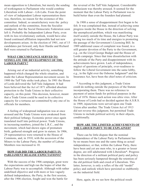mean opposition to Liberalism, but merely the sending of workingmen to Parliament who would combine Liberalism with Labour—Lib-Labs. From the point of view of independent Labour representation there was, therefore, no reason for the existence of this committee. Indeed, so unsatisfactory were the policy and outlook of the committee, from the Socialist standpoint, that the Social Democratic Federation soon left it. Probably the Independent Labour Party, even with its less revolutionary outlook, would have also found continued affiliation impossible had not new developments arisen. At the election of 1901, out of 15 candidates put forward, only Keir Hardie and Richard Bell were returned to Parliament.

#### **WHAT CIRCUMSTANCE SERVED TO STIMULATE THE DEVELOPMENT OF THE LABOUR PARTY?**

Arising out of an industrial activity, something happened which changed the whole situation, and made the Labour Representation movement secure. In 1900 the Taff Vale strike took place. In 1901 the House of Lords delivered the Taff Vale Judgment. It had been believed that the Act of 1871 afforded absolute protection to the Trade Unions in their collective capacity, on this point. This decision, however, meant that a Trade Union could be sued in its collective capacity for a tortuous act committed by any one of its officials for members.

A feeling of widespread indignation was at once aroused and the Trade Unions were awakened from their political lethargy. Economic power once again translated itself into political power. Trade Unions, in increasing numbers, joined the L.R.C., and the movement, which had shown signs of premature birth, gathered strength and grew in stature. In 1906, 29 representatives were returned to the House of Commons, and, in 1910, with the accession of the Miners to the Labour Party, the number of Labour Members was increased to 10.

#### **HOW FAR DID THE LABOUR PARTY IN PARLIAMENT REALISE EXPECTATIONS?**

With the success of the 1906 campaign, great were the expectations and high ran the hopes of what the Labour Party was to accomplish. Although with rather undefined objective and with more or less vaguely defined independence, the Party, in the first session, after the 1906 election, fought and won the battle for

the reversal of the Taff Vale Judgment. Considerable enthusiasm was thereby aroused. It seemed for the moment that the Labour Party in Parliament was to build better than even the founders had planned.

In 1908 a sense of disappointment first began to be felt. It was complained that, instead of achieving some progress inside the House in the direction of solving the unemployed problem, which was manifesting itself acutely outside the House, the Labour Party was giving too much of its time and energies to promoting the passage of the Government's Licensing Bill. In 1909 additional cause of complaint was found, in a still greater devotion of the Party to the Government, e.g., on the Lloyd George Budget and the House of Lords campaign. Since that time dissatisfaction with the attitude of the Party and disappointment with its achievements have grown. Lack of independence, neglect of questions of principle, over-readiness to follow the Liberal Government into the same lobby, e.g., in the fight over the Osborne Judgment\* and the Insurance Act, have been the chief notes of criticism.

\* According to this judgment, a Trade Union could do nothing outside the purposes of the Statute incorporating them. There was no reference to payment of union funds for political purposes in the Act of 1876. Hence such action was ultra vires. After the House of Lords had so decided against the A.S.R.S. in 1909, injunctions were served upon one Trade Union after another. The Trade Union Act of 1913 did not reverse this judgment, but permitted Trade Unions to include political activity in their objects, conditionally.

#### **HOW ARE THE LIMITED ACHIEVEMENTS OF THE LABOUR PARTY TO BE EXPLAINED?**

There can be little dispute that the nominal independence of the Labour Party in Parliament has by no means been one and the same thing as actual independence, or that, within the Labour Party, there have been and yet are men who, to a greater or lesser degree, are still adulterated with Liberalism\*. Progress in the direction of a militant political party and policy has been seriously hampered through the retention of the old political faith and creed of Liberalism. This latter, however, is only a reflex of the old "model" policy and outlook which have persisted so stubbornly on the industrial field.

Here, again, do we see how the political result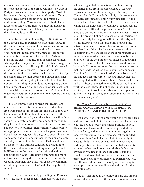mirrors the economic power which initiated it, in this case the power of the Trade Unions. The Labour Party arose as a craft union political party. Most of its members have, in fact, been craft union officials, whose ideals have a tendency to be limited by craft union policy. Certain it is that, if Trade Union leaders repudiate a progressive policy in industrial organisation, there is no alchemy that can transform them into political militants.

In the last resort, undoubtedly, the limitations of the Labour Party in Parliament have their source in the limited consciousness of the workers who exercise the franchise. It is they who send to Parliament, as "independent" representatives, men still labouring under confused notions of the part that Parliament plays in the class struggle, and, in some cases, men who repudiate the position that the political struggle is a class struggle at all. If the political fight slackened after the Taff Vale reversal, it was the masses themselves in the first instance who permitted the fight to slacken and, by their apathy and unresponsiveness, allowed the militant policy to subside. It is, therefore, not very informing to be told, as we frequently ahve been in recent years on the occasion of some set-back, "Labour fakirs betray the workers again". It would be much more helpful to explain why the workers allowed themselves to be betrayed.

This, of course, does not mean that leaders are not to be criticised for their conduct, or that they are free from personal responsibility in so far as they are leaders. As such, they should be in advance of the masses in their outlook, and, therefore, their first duty should be to foster and develop among those whom they lead a clearer consciousness of their class position and power. The political field certainly offers plenty of appropriate material for the discharge of this duty. For a leader to neglect this duty, or to subordinate it to some other and contrary purpose, is the unpardonable sin. May it not be that the Party in Parliament has by its policy and attitude contributed something to the considerable mass of working-class apathy and indifference to the necessity for political action and political power? Might not a stronger and more determined stand by the Party on the reversal of the Osborne Judgment have left less cause for complaint about the present state of the Trade Union political funds?

\* In the years immediately preceding the European crisis the more "independent" members of the party

acknowledged that the inaction complained of by the critics arose from the dependence of Labour representation upon Liberal support. Writing in the "Labour Leader", June 26th., 1913, with reference to the Leicester incident, Philip Snowden said: "If the Labour Party Executive had endorsed a second Labour candidate for Leicester it would have jeopardised the seats of four-fifths of the present Labour Members. It is no use putting forward every reason except the true one. The present Labour representation in Parliament is there mainly by the goodwill of the Liberals, and it will disappea when that goodwill is turned into active resentment…It is worth serious consideration whether it would not be for the ultimate good of Socialism that we should be without representatives in Parliament until we can place them there by our own votes in the constituencies, instead of returning them by Liberal votes, for under such conditions no Labour M.P., however honest he may be, can exercise that independence which the Labour Party expects from him". In the "Labour Leader", July 10th., 1913, the late Keir Hardie wrote: "We are already heavily overweighted by the Labour alliance. We attract to our ranks the best of the active, rebellious spirits in the working class. These do not expect impossibilities, but they cannot brook being always called upon to defend and explain away the action and inaction of the Parliamentary party".

#### **WHY WE MUST AVOID DRAWING ONE-SIDED CONCLUSIONS WITH RESPECT TO INDUSTRIAL AND POLITICAL ACTION.**

It is easy, if one limits observation to a single phase and time, to conclude in favour of a one-sided policy, e.g., the policy of pure and simple political action. This view did arise in the formative period of the Labour Party, and as a reaction, not only against an inactive trade unionism but also against the limited results of those Trade Unions that did show fight. Because industrial action was unable to surmount certain political obstacles and accomplish substantial progress, what was in reality a relative defect was erroneously taken as an absolute defect, and the conclusion drawn that political action, which meant principally sending workingmen to Parliament, was, for all practical purposes, the only effective way to accomplish anything tangible and enduring for the working class.

Equally one-sided is the policy of pure and simple industrial action, or even the so-called revolutionary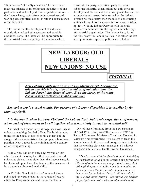<span id="page-5-0"></span>"direct action" of the Syndicalists. The latter have made the mistake of inferring that the defects of one particular and undeveloped form of political action the Labour Party, so far from being a weakness of working class political action, is rather a consequence of the lack of it.

The fact is that the development of industrial organisation makes both necessary and possible a political party. The latter will be appropriate to the industrial form and policy of the unions which constitute the party. A political party can never substitute industrial organisation but only serve its development. So soon as this development has reached a stage where it ceases to be served by the hitherto existing political party, then the task of constructing a higher form of political organisation must be taken up. It is with the Labour Party as with the craft unions. The latter are not the highest attainable type of industrial organisation. The Labour Party is not the "last word" in Labour politics. It is rather the last attempt to make capitalist politics serve Labour.



*September too is a cruel month. For persons of a Labour disposition it is crueller by far than any April.*

#### *It is the month when both the TUC and the Labour Party hold their respective conferences; when each of them meets to be all together what it most truly is, each its essential self.*

And what the Labour Party all together most truly is today is something decidedly New. The bright young things of the Socialist Societies have at last put the stodgy old trade unionists in their proper, subordinate, position. New Labour is the culmination of a century of left-wing dreaming.

Really, New Labour is only new by way of selfadvertisement. Leaving the title to one side it is old, at least as old as, if not older than, the Labour Party it has fastened upon. Even the theory of the many deceits it has practiced is as old as the hills.

In 1965 the New Left Review/Fontana Library published "Towards Socialism", a volume of essays edited by Perry Anderson and Robin Blackburn.

One of these (reprinted from the New Statesman of April 19th., 1963) was "The Lessons of 1945" by Richard Crossman, Minister of Land and Housing in Wilson's first government. This sought to teach the lesson dearest to the hearts of bourgeois intellectuals: that the working class can't manage at all without bourgeois intellectuals. Quoth Brother Crossman…

*"The first essential for the election of a Left-Wing government in Britain is the creation of a favourable climate of opinion among non-political voters. And, although the practical politicians hate to admit it, the truth is that this favourable climate can never be created by the Labour Party itself, but only by the 'disloyal intelligentsia' - the journalists, writers, playwrights and critics who are able to discredit*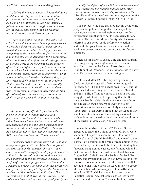*the Establishment and to air Left-Wing ideas…*

*"…before the 1945 election…The psychological landslide to the Left was set in motion not by party organization or party propaganda, but by those who contributed to the* New Statesman*, joined the Left Book Club, taught evening classes for the W.E.A. and, during the war, lectured for the Army Bureau of Current Affairs.*

*"There is one other function - the task of selfcriticism - which can never be adequately carried out inside a democratic socialist party…In our British democracy…where two big parties are competing against each other, self-criticism of this kind is too electorally damaging to be permissible. Since the introduction of universal suffrage, party loyalty has come to be the prime virtue expected of the M.P. and of the active party worker; and the test by which his loyalty is measured is whether he supports his leaders when he disapproves of what they are doing, and whether he defends the party line when he feels in his bones that it is wrong. That is why the task of self-criticism is usually left to those socialist journalists and academics who are professionally free to undertake the kind of cool analysis or outraged exposure that are likely to get a career politician into trouble.*

*"But in order to fulfil their function - the provision of an intellectual dynamic to a party that instinctively distrusts intellectuals - they have been forced jealously to guard their independence and so have laid themselves open to the accusation of irresponsibility. Whenever he wanted to wither them with his contempt, Earl Attlee used to call them 'the Newstatesmen'.*

*…*

*"The phrase was coined in irony, but it contains a very large grain of truth. After the collapse of the 1931 Labour Government, the party faced catastrophe with a magnificent display of instinctive solidarity. But its political self-confidence had been shattered by the MacDonaldite betrayal, and the job of creating a programme of action and a structure of doctrine on which their self-confidence culd grow again was quite beyond the Trade Union leaders and the professional politicians. The Newstatesmen took it over. It was Tawney, Laski, Cole - and later Durbin - who analysed frankly and* 

*candidly the defects of the 1929 Labour Government and worked out the changes that the party must accept in its doctrine and in its procedures, if the MacDonaldite betrayal was not to be repeated in the future" (*Towards Socialism*, 1965, pp. 146 - 148).*

It is obviously the case that a bourgeois democratic party cannot publicly purge itself and expect the spectators as voters immediately to elect it to form a government. But that only holds necessarily for one election. The essential show of unity which Crossman referred to can be put aside before one election and, with the gory business over and done and that particular contest conceded, be resumed for future elections.

Then, as for Tawney, Laski, Cole and later Durbin *"creating a programme of action and a structure of doctrine"* to rescue the Labour Party from its post- 1931 Slough of Despond, it is just impossible to know what Crossman can have been referring to.

Before and after 1931 Tawney was preaching a Christian Socialist gospel of well meaning good fellowship. All he and his needed was LOVE, but the party needed something more in the way of blood and guts, a life-affirming course of class hatred and struggle. Laski took 1931 as proving that the British state was irreformable this side of violent revolution but advocated trying reform anyway as violent revolution was neither nice nor likely to succeed. *"And later"* Evan Durbin argued that the Labour Party should end its reliance on the working class and its trade unions and appeal to the fair-minded good sense of the British middle class. And earlier Cole…

When the set-back of the 1926 General Strike appeared to show the Unions as weak G. D. H. Cole abandoned his previous committment to a form of workers' control (Guild Socialism) and moved to the classic Left position on the role of trade unions in the Labour Party; that it should be limited to funding his favourite campaigning causes, chief among which by that time was Fabianism. Just before the debacle of August 1931 Cole formed the Society for Socialist Inquiry and Propaganda which had Ernie Bevin as its Chairman. When in the wake of the disaster the ILP decided to disaffiliate from the Labour Party a group of its members who were opposed to disaffiliation joined the SSIP, which changed its name to the Socialist League. Against Cole's advice Bevin was voted out and replaced as Chairman by Frank Wise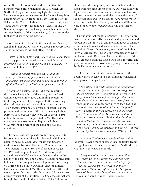of the ILP. Cole continued on the Executive for a further year before resigning. In 1937 when Sir Stafford Cripps was its leading light the Socialist League attempted to manoeuvre the Labour Party into accepting affiliation from the disaffiliated rest of the ILP (and the CPGB). Labour's NEC, now firmly under Trade Union control, responded by disaffiliating the Socialist League and declaring its members ineligible for membership of the Labour Party. Cripps responded to that by dissolving the League.

Cole was not irrelevant to the extent that Tawney, Laski and later Durbin were to Labour's recovery from 1931; but he wasn't all that effective either.

Henry Pelling, in his Short History of the Labour Party says very precisely just who went about *"creating a programme of action and a structure of doctrine"* to rescue the Labour after 1931:

*"On 25th August 1931 the T.U.C. and the extra-parliamentary party took control of the parliamentary party and disavowed the leadership of MacDonald" (3rd Edition, Papermac, p. 71).*

Crossman's declaration in 1963 that restoring the Labour Party after 1931 was beyond the Trade Union leaders simply gave unthinking expression to the prejudices of the bourgeois Left; patronising the working class and disparaging its institutions. The Newstatesmen he cites were as incapable as the professional politicians of the Parliamentary Labour Party of 1931 because they were all of them in 1931 either oblivious of or implicated in MacDonald's convoluted manoeuvre to collapse his Labour Government and return at the head of a national coalition.

The details of that episode are too complicated to be gone into here but there is this much which might usefully be said. When MacDonald and Snowden told Labour's National Executive Committee and the TUC General Council (on the afternoon of August 20, 1931) of the plan to cut £56 million of public expenditure the NEC decided to leave all that in the hands of the cabinet. The General Council immediately held a crisis meeting and sent a deputation consisting of Citrine and Bevin to Downing Street that night. Citrine and Bevin told MacDonald that the TUC could never support his proposals. On August 21 the cabinet agreed to cuts of £56 million. Next day the cabinet was brought back and told that a further £25 - £30 million

of cuts would be required, most of which would be taken from unemployment benefit. Over the following days there was discussion and a vote in which eleven cabinet members agreed with the scale and nature of the further cuts and ten disagreed. Among the majority who agreed with MacDonald, Snowden and Thomas were Sidney Webb, Wedgwood Benn and Herbert Morrison.

Throughout that month of August 1931, after more than six months of calls for a national government and speculation that it was at any moment about to emerge, with financial crises and social and economic chaos, the Labour Party, almost every section of the Labour Party, disgraced itself utterly and irredeemably. Only the Unions, with Bevin and Citrine at the head of the TUC, emerged from the fiasco with their integrity and good sense intact. Recovery was going to come via the Trade Union movement or not at all.

Before the event, in the run up to August '31, Bevin warned MacDonald's government, concerning unemployment in particular…

*"The attitude of trade unionists throughout the country is that anybody who seeks to bring down this Government or to undermine it in a fractious or egotistical manner before these problems have been dealt with will receive short shrift from the trade unionists. Indeed, they have subscribed their money for the purpose of building up the political party in order that such problems may be dealt with. We do not want the Government undermined. We want it strengthened. On the other hand, it is essential that the Government should pay strict attention to, and consult with, the great movement from which it draws its strength and power" (quoted in* Bevin *by Trevor Evans, London, 1946, p. 141).*

At a Labour Conference a couple of years after the event, having more or less given the titular leader George Lansbury his cards and told Sir Stafford Cripps what then was what, Bevin said:

*"Every one of us on the general council of the Trades Union Congress feels he has been let down. Our predecessors formed this party. It was not Keir Hardie. The Labour Party grew out of the bowels of the T.U.C. The great crime of Ramsay MacDonald was that he never called his party together" (ibid, p. 161).*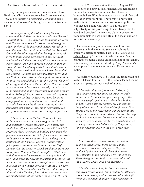And from the bowels of the T,U.C. it was restored.

Henry Pelling was clear and concise about how Bevin and Citrine undertook what Crossman called *"the job of creating a programme of action and a structure of doctrine"* to bring Labour back from the abyss.

*"In this period of disorder among the more committed Socialists and intellectuals, the General Council of the T.U.C. under the leadership of Bevin and Citrine abandoned its usual role of being the sheet-anchor of the party and instead moved in to take the helm. Citrine demanded that 'the General Council should be regarded as having an integral right to initiate and participate in any political matter which it deems to be of direct concern to its constituents'. For this purpose the National Joint Council, which had originally been established in 1921, was reconstituted on a new basis. Instead of the General Council, the parliamentary party, and the National Executive having equal representation on it, it was remodelled so that the General Council alone appointed half of the members. Henceforward it was to meet at least once a month, and also was to be summoned in any emergency requiring prompt action. Although its purpose was theoretically only consultative, in fact its decisions were bound to carry great authority inside the movement, and it would have been highly embarrassing for the parliamentary party or any other body inside the party to have gone counter to it on any major issue.*

*"The records show that the National Council of Labour was constantly meeting in the 1930's and constantly issuing statements on policy, and Bevin himself, who served on it from 1931 to 1937, regarded these decisions as binding even upon the parliamentary leader. In 1933, for instance, he wrote to Lansbury to protest against his speaking on the platform of the Socialist League without getting prior permission from the National Council of Labour. On this occasion Lansbury dug in his rather weary toes. 'I do not think', he replied, 'that I am called upon to ask permission from anybody to do this—and certainly have no intention of doing so'. At the same time, he made no attempt to assert his own authority as parliamentary leader. At the 1934 party conference, he even admitted that he did not regard himself as the 'leader', but rather as no more than the 'spokesman', of the party" (op cit, pp. 76 - 77).*

Richard Crossman's view that after August 1931 the broken in betrayal, disillusioned and demoralised Labour Party was taken in hand by a bunch of bourgeois Left-Wing intellectuals is a straightforward case of wishful thinking. There was no particular malice in it. Crossman was a professional politician who needed a congenial story to buttress the subjectivity of his professing. It's not likely that he hated and despised the working class in general or trade unionists in particular. He didn't mean any of it to be taken personally.

The article, essay or whatever which follows Crossman's in the Towards Socialism volume is entirely a different matter. This is The Nature of the Labour Party by Tom Nairn in which *Labourism*, the character of being a trade union and labour movement, is taken very personally indeed by Perry Anderson's accomplice in the New Left Review. Nairn breathes malice.

As Nairn would have it, by adopting Henderson and Webb's Clause Four in 1918 the Labour Party became a socialist party, but not much of a one…

*"Transforming itself into a socialist party, the Labour Party remained an organ of tradeunionism, a Trade Union 'pressure group'. The one was simply grafted on to the other. In theory, as with other political parties, the controlling body of the party is the Annual Conference. Over 80 per cent of the votes which can be cast at this Conference come from the Trade Unions…Through the block vote system this vast mass of inactive members are counted, like Gogol's dead souls, as so many votes at the Labour Party Conference, far outweighing those of the active members.*

*"Because they are dead souls, and not an active political force, these voices cannot of course really have this power. They are wielded by the men who do have the power, the delegates to the Labour Party Conference. These delegates are in fact representatives of the different Trade Union leaderships…*

*"In what sense, then, is this great power employed by the Trade Union leaders?…although a small minority of Unions are traditionally Left Wing, the substantial majority has consistently,* 

*…*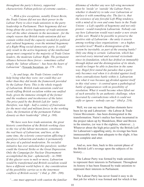*throughout the party's history, supported characteristic Fabian policies of extreme caution…*

*"…With a few exceptions, notably Ernest Bevin, the Trade Unions did not use their power in the Labour Party to elect trade-unionists to the party leadership in Parliament. Their hegemony did not bring about the active hegemony of trade-unionism over all the other elements in the movement - for the simple reason that British trade-unionism did not contain within itself the capacity needed for political and cutlural hegemony, even the minimal hegemony of a Right-Wing social-democratic party. It could only result in the active hegemony of the intellectual group most congenial to the majority of Trade Union leaders, the moderate Labour Right. The permanent alliance between these forces - sometimes called simply the 'labour alliance' - has been the heart of Labourism" (*Towards Socialism*, pp. 179 - 181).*

*"…by and large, the Trade Unions could not help being what they were; nor could they act other than they did inside the framework provided by the Labour Party. This is the whole tragedy of Labourism. British trade-unionism could not avoid stifling British socialism within one unified body, given the immense strength of the former and the weakness and incoherence of the latter. The price paid by the British Left for 'unity', therefore, was high - half a century of frustration for the most vital and militant forces in the working class, the formation of the permanent Fabian dynasty as their leadership" (ibid, p. 188).*

*"We have seen how trade-unionism, the great historic contribution of the British working class to the rise of the labour movement, constitutes the real basis of Labourism; and how, at the same time, the sclerotic conservatism afflicting it paralyses Labourism and makes it permanently the prey of a palsied moderation. No socialist initiative has ever unlocked this paralysis; neither could the General Strike or the Great Depression. Only the Campaign for Nuclear Disarmament accomplished the feat - ephemerally - in 1960. If this glacier were to melt or move, Labourism would be transformed and British socialism would have a different world before it. Any consideration of the possibility carries us to the innermost conflicts of British society" ( ibid, p. 208 - 209).*

*"…one must approach with caution the familiar* 

*dilemma of whether any new left-wing movement must be 'inside' or 'outside' the Labour Party, whether it should try to take over Labourism or replace it with something else. The fact is, that the existence of any forceful Left-Wing tendency, with a mind of its own and some basis in the Trade Unions - a Left capable of hegemony and not only protest - would transform Labourism. Nobody can say how Labourism would react under a new strain of this sort. Would it be possible to preserve the positive side of Labourism - the unity it asserts among working-class organizations - on a higher, socialist level? Would a disintegration of the system be inevitable, as part of the ensuing battle? Only one thing is certain: Labourism, which has survived every internal and external vicissitude since its foundation, which has drifted on immutably through defeat and the disintegration of its ideals, would no longer be able to function in the same way. Hegel first stated the paradox that a party only becomes real when it is divided against itself, when contradictions battle within it. Labourism was what it was because* not *divided against itself in this vital sense - it centred upon a pathological battle of appearances with no possibility of resolution. What it would become when lifted out of such unreality by an authentic challenge, when lacerated by contradictions which it could not stifle or ignore - nobody can say" (ibid p. 216).*

Well, we can say now. Hegelian elements have been let rip and Labourism—the Labour & Trade Union Movement—has been disintegrated in the transformation. Nairn's malice has been incarnated in the project taken up by Mandelson, Blair and Brown in the nineties, (or was it the eighties, whatever…). Whatever about the high price paid by the British Left for Labourism's appalling unity, its revenge has been immeasurably more than adequate to the slight, it has been complete and utter.

And so, now then, back to this current phase of the British Left's revenge upon the subjects of its history…

The Labour Party was formed by trade unionists to represent their interests in Parliament. Throughout its history it has been financed by trade unionists to represent their interests in Parliament.

The Labour Party has never found it easy to do that job for which it was formed and for which it has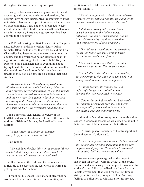throughout its history been very well paid.

During its last eleven years in government, despite accepting and spending trade union donations, the Labour Party has not represented the interests of trade unionists. It has not attempted to represent the interests of trade unionists. It has not even pretended to care about the interests of trade unionists. All its behaviour as a Parliamentary Party and a government has been entirely to the contrary.

In 1997, addressing the first Trades Union Congress since Labour's landslide election victory, Prime Minister Blair made it clear that what he and his Iron Chancellor had been telling the party, the unions, the country and the world was not an elaborate hoax. In a glorious overturning of a tired old cliché Tony the Piper told his paymasters not to even think about trying to call the tune. In no uncertain terms he called the tune himself. And not only his tune that they imagined they had paid for. He also called their tune for them:

*"By your actions let's make it impossible to dismiss trade unions as old fashioned, defensive, anti-progress, activist dominated. This is the agenda I want to work on with trade unions between now and the new year. An agenda to build unions that are strong and relevant for the 21st century. A democratic, accountable union movement that can be a true partner with government and business."*

John Edmonds, then general secretary of the GMBU, had said at Conference of one of the favourite notions of Blair and Brown, the Flexible Labour Market:

*"When I hear the Labour government using Tory phrases, I shiver a little".*

Blair replied:

*"We will keep the flexibility of the present labour market. And it may make some shiver, but I tell you in the end it's warmer in the real world".*

Well we're near the end now, the labour market is flexible to be sure and the real world is warm and getting warmer by the hour.

Throughout his speech Blair made it clear that he would not tolerate any return to the seventies, when

politicians had to take account of the power of trade unions. Oh no

*"We will not go back to the days of industrial warfare, strikes without ballots, mass and flying pickets, secondary action and all the rest."*

*"Modernise your political structures as we have done in the Labour party. Influence with this government and with me is not determined by anything other than the persuasiveness of your arguments.*

*"The old ways—resolutions, the committee rooms, the fixing, the small groups trying to run the show—have no future.*

*"New trade unionism - that is your aim. Partners for progress. That is your slogan.*

*"Let's build trade unions that are creative, not conservative, that show they can work with management to make better companies.*

*"Unions that people join not just out of fear of change or exploitation, but because they are committed to success.*

*"Unions that look forwards, not backwards, that support workers as they are, and foster the adaptability they need to be secure in a competitive and fast changing world."*

And, with a few minor exceptions, the trade union leaders in Congress assembled welcomed being put in their place and told how to order their affairs.

Bill Morris, general secretary of the Transport and General Workers Union, said:

*"It was a very measured speech. He has removed any doubts that he wants trade unions to be part of government projects. He wants a transparent relationship built on democratic values."*

That was eleven years ago when the project that began for the Left with its defeat of the Social Contract and smothering of an incipient movement for workers' control finally realised itself as a Socialist Society government that stood for the first time in history on its own feet, completely free from any feelings of obligation to Old Mortality. Its project,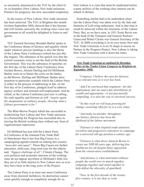so succinctly announced to the TUC by the chief of its co-founders (New Labour, New trade unionism, Partners for progress), has now succeeded completely.

In the course of New Labour, New trade unionism has been achieved. The TUC at Brighton this month (written September 20th) showed that it has become and will remain, precisely the working class voice any government at all would be delighted to listen to and ignore.

TUC General Secretary Brendan Barber spoke to the Conference theme of fairness and equality which under whatever precise headings is also the theme of the Labour Party Conference (which has just this day begun). The substance of his speech was that the current economic crisis is not the fault of the British Government. This was the substance of speeches on the first day of the Labour Party Conference from Gordon Brown, Alistair Darling and Ed Milliband. Barber went on to blame the crisis on the banks, as did Brown, Darling and Milliband. Barber drew attention to particular scandals which the Labour Party is either in the process of addressing or has, on the first day of its Conference, pledged itself to address: agency workers and notional self-employment. And he called, as the Labour Conference just now is calling, for such equality and fairness as will *"inspire again the imagination of ordinary people, showing what a Labour government is for"*.

The Blair-Brown Project which has succeeded in modernising New Labour and New Trade unionism in a Partnership for Progress has succeeded also in leaving the British working class without any form of organisational expression.

Ed Miliband has just told the Labour Party in Conference at the renamed Free Trade Hall in Manchester that it has four Big Causes in a campaigning agenda centred on making this country *"more fair and equal"*. Those Big Causes are further education, child care, long-term care for the elderly and, *"biggest challenge of all"*, Climate Change. The core political and economic interests of the working class do not appear anywhere in Miliband's little list; they are of as little interest to New Labour now as ever they have been in the long years of the Project.

The Labour Party is at most one more Conference away from electoral meltdown. Its destruction cannot come quickly enough or completely enough for us.

New Labour is a virus that must be eradicated before a party politics of the working class interest can be rebuilt in Britain.

Something similar had to be undertaken when last the Labour Party was taken over by the fads and fantasies of Left-wing enthusiasts. And at that time it could be achieved within the structures of the Labour Party. But, as we have seen, in 1931 Ernie Bevin was at the head of the Transport and General Workers' Union and Walter Citrine was General Secretary of the TUC. In 2008 everything is in its own terms New and New Trade Unionism is in no fit shape to rescue its Partner in the Progress Project. New Labour is taking New Trade Unionism with it down the tubes.

#### *New Trade Unionism as outlined by Brendan Barber at the Trades Union Congress in Brighton in September 2008.*

*"Congress, I believe the case for fairness is as relevant now as it ever has been.*

*"And I'm convinced that argument—for fair employment, fair tax and a fair distribution of wealth and opportunity—is not just morally compelling, it is also the way to electoral success.*

*"So this week we will keep pressing for change; asserting what for us is a core value.*

*"And make no mistake: throughout our history, fairness has been the lifeblood of the labour movement.*

*"Fairness is what inspired trade unionists, socialists and progressive reformers to campaign for a universal old age pension a century ago.*

*"Fairness is what drove Aneurin Bevan to create our NHS 60 years ago, delivering free healthcare for all despite bitter opposition from the conservative establishment.*

*"And fairness is what motivated ordinary people the world over to march together, campaign together and stand together to help defeat the obscenity of apartheid.*

*"Now, in the first decade of the twentyfirst century, it is our duty to write*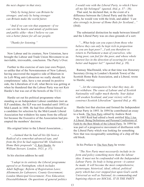*the next chapter in that story.*

*"Only by being fairer can Britain be stronger; and only by being stronger can Britain make the world fairer.*

*"And if we can win that argument—if we can win the hearts and minds of politicians and public alike—then I believe we can win a better future for all our people.*

*"Thanks for listening."*

New Labour and its creature, New Unionism, have brought the Labour and Trade Union Movement to an inevitable, irrevocable, conclusion. The Party's Over.

Further to this exercise of ours (our own Project, so unlike that of the Newstatesmen of New Labour), having uncovered the negative side of Blairism in its Left-Wing anti-Labourism we really should, for completeness' sake, have a run around its positive side, the Liberalism of it all, what Bevin was getting at when he thundered that the Labour Party was not Keir Hardie's but was out of the bowels of the T.U.C.

Hardie set out his political programme when standing as an Independent Labour candidate (not an ILP candidate, the ILP was not founded until 1893) at Mid-Lanark in 1888. He had first offered himself as a candidate for selection by the Mid-Lanark Liberal Association but withdrew his name from the official list because the Executive of the Association had preempted the members' decision.

His original letter to the Liberal Association…

*"…claimed that he had all his life been a Radical of a somewhat advanced type, and from the first he had supported Mr. Gladstone's Home Rule proposals" (*J. Keir Hardie*, by William Stewart, London, 1921, p. 37).*

In his election address he said:

 *"I adopt in its entirety the Liberal programme agreed to at Nottingham, which includes Adult Suffrage; Reform of Registration Laws; Allotments for Labourers; County Government; London Municipal Government; Free Education; Disestablishment. On questions of general politics*  *I would vote with the Liberal Party, to which I have all my life belonged" (quoted, ibid, p. 37 - 38).*

That said, he declared that, in the event of a difference between the Liberal Party and the Irish Party, he would vote with the Irish, and added *"I am also strongly in favour of Home Rule for Scotland…"* (ibid).

The substantial distinction he made between himself and the Liberal Party was on class grounds of a sort:

*"…What help can you expect from those who believe they can only be kept rich in proportion as you are kept poor?…I ask you therefore to return to Parliament a man of yourselves, who being poor, can feel for the poor, and whose whole interest lies in the direction of securing for you a better and happier lot?" (quoted ibid, p. 39).*

Ramsay MacDonald, who at that time was Honorary Secretary (living in London's Kentish Town) of the Scottish Home Rule Association, and a Liberal, wrote to Hardie, saying:

*"…let the consequences be what they may, do not withdraw. The cause of Labour and of Scottish Nationality will suffer much thereby. Your defeat will awaken Scotland, and your victory will reconstruct Scottish Liberalism" (quoted ibid, p. 40).*

Hardie lost that election and formed the Independent Labour Party in 1893. In 1894 he contributed an essay to a book, The New Party edited by Andrew Reid.

In 1885 Reid had edited a book entitled Why I Am A Liberal: Being Definitions and Personal Confessions of Faith by the Best Minds of the Liberal Party. In 1894 he was part of a progressive movement of disillusion with the Liberal Party which was looking for something New that was recognisably something of a chip off the old block.

In his Preface to The New Party he wrote:

*"The New Party must necessarily include in its form and policy something more than the labour idea. It must not be confounded with the Independent Labour Party. Its body is being grown—it cannot be made. It will become the most comprehensive, picturesque, historical, ideal, ethical, political party which has ever stepped foot upon God's earth. Universal as well as National, its commanding and baptizing objects are SOCIAL. IT IS THE PARTY*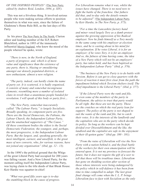*OF THE INSPIRED PEOPLES" (*The New Party*, edited by Andrew Reid, London, 1894, p. XIV).*

This was not a frivolous thing. It involved serious people who were making serious efforts to position themselves in what was seen, since the failure of Gladstone's Home Rule Bill, as the last days of His Party.

In his piece The New Party In The North, Clarion editor and leading member of the ILP, Robert Blatchford, author in 1893 of the immensely influential Merrie England, who knew the mood of the people whereof he spoke, wrote:

*"There is now, in the North of England, a party of progress; and, which is of more value and significance than the existence of any party, there is, blazing or smouldering amongst our densely populated districts, a new enthusiasm; almost a new religion.*

*"The party, indeed, can hardly claim the name of party yet. It is scattered, it is badly organised, it consists of many and somewhat incongruous elements; resembling more a number of isolated clans in revolt than a unanimous people banded for revolution. I will speak of this body or party first…*

*"The New Party, somewhat inaccurately called "The Labour Party," is largely Socialistic. Broadly speaking, its component parts are five. There are the Social Democrats, the Fabians, the Labour Church, the Independent Labour Party, and the unattached supporters of "The Cause." Of these constituent bodies the oldest is the Social Democratic Federation; the youngest, and, perhaps, the most progressive, is the Independent Labour Party. But the largest, and, speaking generally, the most intelligent, earnest, and unselfish, is the great mass of new converts, who, for various reasons, have not joined any organisation" (ibid, pp. 12 - 13).*

In the 1890's the political ground that the Whigs of the great Liberal Party had occupied for 200 years was falling vacant. And a New Liberal Party, for the moment calling itself the Independent Labour Party, was laying claim to the title deeds of that Bleak House. Keir Hardie was squatter-in-chief:

*"What was good fifty years ago is to-day the stumbling-block in the cause of progress.* 

*For Liberalism remains what it was, whilst the issues have changed. There is no need now to fight the battle of the franchise. Our fathers did that, and to-day only the details remain to be adjusted" (*The Independent Labour Party*, by Keir Hardie, in The New Party, p. 375).*

*"For a time the Lancashire factory hand and miner voted largely Tory as a dumb protest against the growing oppression of his Radical employer. Now he finds himself as a Tory mostly in the same camp with his employer at election times, and he is casting about in his mind for an explanation. If he votes Liberal, it is for an employer; if he votes Tory, it is for an employer. And so, the fulness of time having come, the idea of a New Party which will not be an employers' party, has taken hold, and has been baptized as the Independent Labour Party" (ibid, p. 376).*

*"The business of the New Party is to do battle with Toryism. Before it can get to close quarters with the*  forces of reaction it must first clear from the path the *impediment behind which Toryism shelters itself. The chief impediment is the Liberal Party" (ibid, p. 377).*

*"If the Liberal Party were the rank and file, or even some of the members of the party in Parliament, the advice to trust that party would be all right. But these are not the party. These are the crutches on which the real party lean for support. The policy of the party is not shaped to suit the wants of the rank and file, but to catch their votes. It is the interests of the landlords and the capitalists who are in the party which decide its policy. So long as the workers can be kept divided over Disestablishment and the like, the landlord and the capitalist are safe in the enjoyment of their ill-gotten gains" (ibid pp. 380 - 381).*

*"From the ruins of Liberalism will rise the New Party with a nation behind it, and the final battle of the workers for their own emancipation will be entered upon. It is not my province to forecast the future, but it does not require the gift of a seer to tell that those will be troublous times. Liberalism has gone on shedding section after section of those whose interests were being endangered by the policy which in self-defence it has been from time to time compelled to adopt. The last great final change will come when the I. L. P. brings Liberalism face to face with Socialism as the only*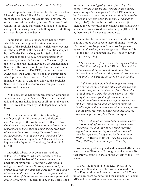#### *alternative to extinction" (ibid, pp. 382 - 383).*

But, despite the best efforts of the ILP and dissident Liberals their New Liberal Party did not fall neatly from the mix to neatly replace its senile parent. One of the causes of Radicalism, Old and New, was Trade Unionism. So Trade Unionism was added to the mix and, great lumbering bulk of a hulking real world thing as it was, it spoiled the dream.

In hindsight Hardie's Independent Labour Party which loomed so large at that time was only the largest of the Socialist Societies which came together in February 1900 on the basis of a resolution adopted by the Trades Union Congress in 1899 to hold a conference to find *"a better representation of the interests of Labour in the House of Commons"* (from the text of the resolution moved by the Amalgamated Society of Railway Servants and the National Union of Dock Labourers—The NUR, successor to the ASRS published Will Craik's book, an extract from which precedes this editorial.). The T.U.C. took the immediate initiative and then allowed the Socialist Societies to make the conference arrangements and determine its agenda.

At the outset the Labour Representation Committee was dominated by the Socialist Societies. It was all talk and the ILP talked loudest of all. So, at the outset the LRC was dominated by the Independent Labour Party.

The first resolution at the LRC's founding conference (by R. W. Jones of the Upholsterers and Paul Vogel of the Waiters) moved that *"…this Conference is in favour of the working-classes being represented in the House of Commons by members of the working class as being the most likely to be sympathetic with the aims and demands of the Labour Movement"* (quoted in A History of Labour Representation by A. W. Humphrey, London, 1912, p.144).

Maverick Liberal M.P. John Burns and the ILP's George Barnes (who was secretary of the Amalgamated Society of Engineers) moved an amendment favouring *"…working-class opinion being represented in the House of Commons by men sympathetic with the aims and demands of the Labour Movement and whose candidatures are promoted by one or other of the organised movements represented at this Conference"* (quoted, ibid p. 144). Burns stood

to declare he was *"getting tired of working class boots, working-class trains, working-class houses, and working-class margarine"*. The LRC should not be *"prisoners to class prejudice, but should consider parties and policies apart from class organisation"* (ibid, p. 145). Having been further amended (to include the co-operative movement) Burns and Barnes' amendment was carried overwhelmingly (102 votes to 3, there were 129 delegates attending).

One up for the Socialist Societies. Hurrah the ILP!! But the Trades Unions were there, thinking *"workingclass boots, working-class trains, working-class houses, and working-class margarine"*. Then in July 1901 the Taff Vale judgment by the House of Lords changed everything:

*"This case arose from a strike in August 1900 on the Taff Vale railway in South Wales…The decision of the House of Lords was of great importance, because it determined that the funds of a trade union were liable for damages inflicted by its officials…*

*"It did not take union leaders in general very long to realize the crippling effects of this decision on their own prospects of successful strike action in the future. It is true that there were a few who thought that some good might come from the recognition of trade unions as legal corporations, for they would presumably be able to enter into legally enforceable agreements with their employers. But the great majority at once concluded that the disadvantages outweighed the advantages…*

*"The reaction of the great bulk of union leaders to this state of affairs was naturally very hostile. One result was that they gave a much warmer support to the Labour Representation Committee than had appeared likely upon its foundation in 1900…" (*A History of British Trade Unionism*, by Henry Pelling, 3rd. edition, pp. 123 - 124).*

Warmer support was grand and increased affiliations even grander. Warmer still though was the money. But that threw a grand big spoke in the wheels of the ILP's wagon.

In 1903 the fees paid to the LRC by affiliated unions and Socialist Societies were increased from 10s (50p) per thousand members to nearly £5. Trade union dues were going to fund the payment of Labour MPs and there had to be some means to ensure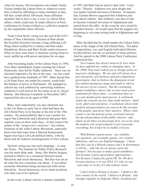value for money. The mechanism was simply found. Unions funded the Labour Party to whatever extent they wished by affiliating as many members as they felt they could afford. Obviously those affiliated members had to have a say, a vote, in Labour Party affairs, which could only be made effective at Party conferences by being wielded as a collective property by the responsible union officials.

Trade Union block voting was the end of the ILP's dream of New Liberalism. Cheated of their dream the Socialist Societies became a long suffering Left-Wing which seethed for a century and then under Mandelson, Brown and Blair finally achieved power. What we have seen since is chickens coming home to roost, puffed up with power and plans for revenge.

After becoming leader of the Labour Party in 1994, Tony Blair immediately began courting the Liberal Democrats, then led by Paddy Ashdown. There was an electoral imperative for this at the time – no one could have predicted the landslide of 1997. Blair feared that a Lib Dem Party, not under his control, could hold the balance of power in Parliament. He managed to subvert any such ambition by subverting Ashdown. Ashdown is well known for his status as an ex- Royal Marine. But Menzies Campbell, in December 2007, exposed him also as an agent of MI6.

Blair, more importantly was also attracted, not to the Lib Dems as such, but to what had been the old Liberal Party in its heyday at the end of the 19th century. He stated publicly that it was a matter for regret that Liberalism and Labourism had gone their separate ways in those early days. In that context the notion of the *"progressive consensus"* was reborn. Elements in the wider Labour Movement, especially those who had come from a Marxist background, began weaving a Lib-Lab political fabric, with the direct and the indirect encouragement of New Labour.

Tactical voting was one such campaign – to stop the Tories. The Institute for Public Policy Research was the main think tank. Some, like Martin Jacques, seemed to believe in a consensus between social liberalism and social democracy. But that was not at all what the new consensus was about. It was about economic liberalism being reconnected with social liberalism. Social democracy, never mind socialism, was what was to be replaced.

In the event, Labour won by a massive landslide

in 1997 and Blair had no need to deal with *"wishywashy"* liberals. Ashdown was seen alright and was made Colonial Governor of Bosnia. In January last, Gordon Brown suggested that Ashdown join the Labour cabinet. But Ashdown was then in line to become Colonial Governor of Afghanistan and turned down the offer. In the event he was vetoed by President Karzai. (It would seem that the puppets are beginning to cut some strings both in Afghanistan and in Iraq.

Blair decided that he could remake the Labour Party alone in the image of the old Liberal Party. The party of imperialism, war, and English individual liberties. Gordon Brown was the co-architect of these policies. And his speech to the 2008 Labour Party Conference emphasised this:

*"New Labour has always been at its best when we have applied our values to changing times. In the 1990s Tony and I asked you to change policy to meet new challenges. We are and will always be a pro-enterprise, pro-business and pro-competition government. And we believe the dynamism of our five million businesses large and small is vital to the success of our country. But the continuing market turbulence shows why we now need a new settlement for these times - a settlement that we as a pro-market party must pursue. A settlement where the rewards are for what really matters - hard work, effort and enterprise. A settlement where both markets and government are seen to be the servants of the people, and never their masters, Where what counts is not the pursuit of any sectional interest but the advancement of the public interest - and where at all times we put people first. Let us be clear the modern role of government is not to provide everything, but it must be to enable everyone.*

*"With Britain's great assets - our stability, our openness, our scientific genius, our creative industries, and yes our English language - I know that this can be a British century and I'm determined it will be… And why do we always strive for fairness? Not because it makes good soundbites. Not because it gives good photo opportunities. Not because it makes for good P.R. No. We do it because fairness is in our DNA. It's who we are - and what we're for. It's why Labour exists.*

*"I don't believe Britain is broken - I think it's the best country in the world. I believe in Britain. And stronger together as England, Wales, Scotland and*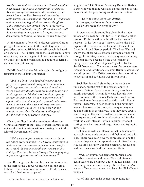*Northern Ireland we can make our United Kingdom even better. And ours is a country full of heroes. And we pay special tribute to the heroism of our armed forces, as Des Browne said yesterday - to their service and sacrifice in Iraq and in Afghanistan and in peacekeeping missions around the globe. Quite simply the best armed forces in the world. And David Miliband, Douglas Alexander and I will do everything in our power to bring justice and democracy, to Burma, to Zimbabwe and to Darfur."*

At the moment of one of its deepest crises, Gordon pledges his commitment to the market system. His patriotism, echoing Blair's farewell speech, is based on genetics. The English, since the Scots seem to have other ideas, can once again feel that they are nature's, or God's, gift to the world and go about re-ordering it as their manifest destiny.

Ed Milliband had the following bit of nostalgia to transmit to the Labour Conference:

*"And you know its a hundred years since a progressive government brought in a new system of old age pensions in this country. A hundred years since they decided that the risk of being poor in old age was a risk that was too big for people to bear on their own. We need a government of equal radicalism. A manifesto of equal radicalism when it comes to the system of long-term care in this country, and it will be the next Labour manifesto. And then the biggest challenge of all, the challenge of climate change…"* 

Clearly reading from the same hymn sheet the General Secretary of the TUC, Brendan Barber, could not speak about pensions without looking back to the Liberal Government of 1906…

*"We've won major pensions' reform so that in the future every employer will have to contribute to their workers' pensions—and what better way for us to mark the one hundredth anniversary of the Old Age Pensions Act won through the campaigning of previous generations of trade unionists?"*

Nye Bevan got one favourable mention in relation to the NHS at the Labour Conference but the great Labour – trade union revolution of 1945-51, as usual, was like it had never happened.

length from TUC General Secretary Brendan Barber. Barber showed that he was also on message as to why there should be good living conditions in Britain:

 *"Only by being fairer can Britain be stronger; and only by being stronger can Britain make the world fairer"*

Brown's possible stumbling block in the trade unions on his road to 1906 (or 1914) is clearly taken care of. Reforms will now be all for the *"right"*  reasons. In its *"bite page"* history series, the BBC explains the reasons for the Liberal reforms of the Asquith – Lloyd George period. The Boer War had shown that there was a chronic shortage of men fit enough for military service. Germany was becoming too competitive because of the development of *"progressive social development"* pushed by the Social Democrats. There was a need for greater state regulation and interference to stem Britain's decline as a world power. The British working class was taking to socialism and socialism was international.

Socialism is not likely to be on the cards any time soon, but the rest of the reasons apply in Brown's Britain. Socialism has in any case been utterly subverted. The middle class liberals who have dominated the Labour Party since well before Blair took over have equated socialism with liberal reform. Reforms, in such areas as housing policy, gender, homosexuality, race, etc., may or may not be good things in themselves. But they have always been things in themselves without regard for social consequences, and certainly without regard for the working class interest – which is primarily about cutting back the system of wage labour and trying to abolish it.

But anyone with an interest in that is denounced as a right wing trade unionist, old fashioned and a lot else. There was even a worry expressed on one the Labour blogs about the appointment of ultra-Blairite, Ray Collins, as Party General Secretary, because he had previously worked for the union Unite.

Brown, of course, has electoral problems, and probably cannot go it alone as Blair did. So once again feelers are being put out to the Lib Dems. This time the project is more manageable as the *"sandal wearers"* have mostly been displaced by Nick Clegg's yuppies.

All of this may make depressing reading for

Earlier in this editorial we have quoted at some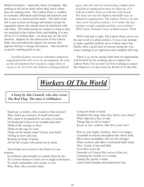<span id="page-17-0"></span>British Socialists – especially those in England. But nothing at all can be done unless they know where they are starting from. The Labour Party is wedded to economic liberalism and foreign adventurism and the sooner it is destroyed the better. The bulk of the left is just as keen on foreign adventures except for arguments about who should most be interfered with and when. The trade unions are useless as long as they are attached to the Labour Party and helping it to pay off its  $£17.5$  million debt – let alone pay for the next election. Support for the destruction of the Labour Party and unconditional support for anyone who opposes Britain's foreign adventures – that should be as good a starting point as any.

*"A political party can never substitute industrial organisation but only serve its development. So soon as this development has reached a stage where it ceases to be served by the hitherto existing political* 

*party, then the task of constructing a higher form of political organisation must be taken up. It is with the Labour Party as with the craft unions. The latter are not the highest attainable type of industrial organisation. The Labour Party is not the 'last word' in Labour politics. It is rather the last attempt to make capitalist politics serve Labour." (Will Craik, National Union of Railwaymen, 1916)*

Will Craik had it right. The Labour Party never was the last word in Labour politics. It was a last attempt to make capitalist politics serve Labour and it has finally, after a great deal of success along the way, come crashing to an inglorious and complete full stop.

There is as yet no saying what form of organisation will be built by the working class to replace the Labour Party. For our part we'll be working to ensure that whatever it is has room for *Bolshevik* in the title.

## *Workers Of The World*

*A Song by Jim Connell, who also wrote The Red Flag. The tune is Lillibulero*

Stand up, ye toilers, why crouch ye like cravens? Why clutch an existence of insult and want? Why stand to be plucked by an army of ravens, Or hoodwink'd forever by twaddle and cant? Think of the wrongs ye bear, Think on the rags ye wear, Think on the insults endur'd from your birth; Toiling in snow and rain,

- Rearing up heaps of grain,
- All for the tyrants who grind you to earth.

Your brains are as keen as the brains of your masters,

In swiftness and strength ye surpass them by far; Ye've brave hearts to teach you to laugh at disasters, Ye vastly outnumber your tyrants in war. Why, then, like cowards stand,

Using not brain or hand, Thankful like dogs when they throw you a bone? What right have they to take Things that ye toil to make? Know ye not, workers, that all is your own?

Rise in your might, brothers, bear it no longer; Assemble in masses throughout the whole land; Show these incapables who are the stronger When workers and idlers confronted shall stand. Thro' Castle, Court and Hall, Over their acres all, Onwards we'll press like waves of the sea, Claiming the wealth we've made, Ending the spoiler's trade; Labor shall triumph and mankind be free.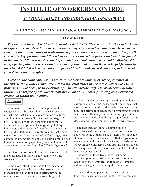# <span id="page-18-0"></span>**Institute Of Workers' Control**

### *Accountability and Industrial Democracy*

*(Evidence To The Bullock Committee Of inquiry)*

#### **Explanatory Note**

*The Institute for Workers' Control considers that the TUC's proposals for the establishment of supervisory boards in large firms (50 per cent of whose members should be elected by the rank and file organizations of trade unionists) needs strengthening in a number of ways. Of course, the key question about this scheme concerns the actual powers that would be placed in the hands of the worker directors/representatives. Trade unionists would be ill-advised to accept participation on terms which were in any way weaker than those to be put forward by the TUC. A diluted scheme would not represent 'partial' industrial democracy, but a retreat from democratic principles.*

*These are the main conclusions drawn in the memorandum of evidence presented by the IWC to the Bullock Committee, (which was established in order to consider the TUC's proposals on the need for an extension of industrial democracy). The memorandum, which follows, was drafted by Michael Barratt Brown and Ken Coates, following on an extended discussion within the Institute.*

#### *Foreword*

Some years ago, around 35 to be precise, it was suggested to me by a well-known Marxist scholar of that time, that I should take on the job of editing a trade union rank-and-file paper. At that stage of my life the idea frightened the wits out of me, so I returned the compliment by suggesting that my knowledge did not exactly fit me for the job and that he should undertake it. His reply was one that I have never forgotten. "I was educated at Cambridge, taking economics among other things, but I am no more fitted to edit a trade union paper than you would be to edit an academic paper for Oxford and Cambridge dons."

I took on the job. Whether or not I was successful is neither here nor there. I know that none of my workmates ever offered to replace me.

Some years later I happened to be a member of a negotiating team which was discussing with the management a plan to increase efficiency in the operation of our services to the travelling public.

After a number of meetings listening to the ideas and propositions of the management, I told them that I was tired of hearing their ideas, which sounded to me more like efforts to increase their profit margins rather than service efficiency, and went on to suggest that the trade union side should begin to put forward some ideas by doing some thinking on their own account.

The lads then agreed to a meeting among themselves and came armed with their own ideas: what a cock-up some of them made of their first challenge of having to think for themselves! Had we gone to the management with some of their ideas, the lads on the job would have murdered them. But, no matter. It was a new experience for some of them, and I like to think that they gained from it.

I believe that these two stories bear some relationship to the decision of the IWC to submit evidence to the Committee on Industrial Democracy and to the danger of separating theory and practice.

It is one thing to pose—as the TUC rightly does—such questions as the number of directors and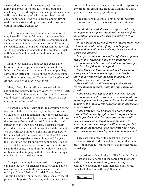shareholders, details of ownership, sales turnover, home and export sales, production material and machinery costs. All highly technical questions which will have to be grappled with and resolved: but of equal importance is the role, purpose and policy of trade union activists, shop stewards and convenors within Industrial Democracy.

Just as some of our active rank-and-file unionists may have difficulty in following or understanding some of the theoretical and academic arguments and submissions which have been made to the Committee, so, equally, many of our political academics may well fail to appreciate and understand the problems which will face trade union methods and organisation in industry.

In my view some of our academic experts are becoming unduly optimistic about the results that Industrial Democracy may being. For example, Roy Lewis in an article in Tribune on the proposals, quotes Tony Benn as once saying *"Nationalisation plus Lord Robens does not add up to socialism."*

Many of us, like myself, who worked within a nationalised industry for many years, will give a hearty *"Hear, hear"* to that view, apart from the fact that we could retort *"Industrial Democracy plus the TUC is not a short cut to socialism."*

It happens to be my view that the conversion to and interest in Industrial Democracy on the part of some of the politicians and national trade union leaders has come a trifle too suddenly. Some of them have allowed themselves to become divorced from the ideas and struggles of the shop floor, partly because of their dependence upon the machine and the establishment. While I will keep an open mind and am prepared to be persuaded that the Government and the TUC mean business, my experience stretching over fifty years in the trade union and labour movement compels me to say that if I were an active factory convenor at this stage in the game, I would prefer to play with a stick of dynamite than to play with the idea of becoming a member of a management board.

Perhaps I am being too pessimistic, perhaps we can hope that the experiences and knowledge gained over recent years by trade unionists as a result of Upper Clyde, Meriden, Scottish Daily News, Vickers Combine Committees, Lucas (socially useful products), Imperial Typewriters, and the numerous sitins of one kind and another, will make them approach any proposals emanating from the Committee with a good deal of cautionary questioning.

The questions that come to my mind if Industrial Democracy is to be taken as a serious intention are:

*Should the so-called workers' representatives of management or supervisory boards be elected from the existing members of works committees? If not, why not?*

*If they are to be elected from the factory floor what relationship and contact, if any, will be proposed between them and the elected shop stewards and/or works committees?*

*In any case, how is any conflict of views or policies between the workpeople and their management representatives to be resolved, and what follow-up will there be if they fail to agree?*

*What liaison is likely to be catered for as between work-people's management representatives in individual firms within the same industry, say, Leylands, Fords, and Vauxhall?*

*How will Industrial Democracy and workers' representatives operate within the multi-national firms?*

*What provisions will be made to ensure that the representatives of the workers are present at all levels of management and not just at the top level, with the danger of the lower levels reneging on an agreed top level decision?*

*What demands will be made in order to make certain that the workpeople's elected representatives will be provided with the same information and facts as their management opposites, and even more important what support will be given for their training in the technical and economic knowledge necessary to understand big business management?*

These are but a few of the questions to which trade unionists should demand answers, so that their practical knowledge can be married to the theoretical knowledge.

As a retired trade unionist, I—like Asquith—*"have to wait and see"*, hoping at the same time that rankand-file trade unionists throughout industry will continue to struggle for their members and for real Industrial Democracy through Socialism.

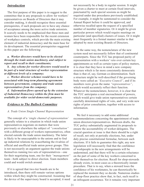#### *Introduction*

The first purpose of this paper is to suggest to the committee that in any proposals to allow for workers' representatives on Boards of Directors that it may consider making, it should recognize three essential prerequisites, if such proposals are to have any chance of acceptance among the more active trade unionists. It scarcely needs to be emphasised that these men and women have been responsible for the recent extension of workplace controls, which provide the main existing element of industrial democracy and the main base for its development. The essential prerequisites suggested in this paper are the following:

#### *a. Worker directors would have to be elected through the trade union machinery, and subject to report and recall to their constituents;*

*b. Any scheme for worker directors would need to be part of a total structure of worker representation at different levels of a company;*

*c. Worker director schemes would have to be associated with long-term planning agreements between government, company and trade union representatives from the company;*

*d. Information-flows opened up by the extension of Industrial Democracy within the firm must be available for wider social-democratic purposes.*

#### *Evidence to The Bullock Committee*

#### *A. Trade Union Single-Channel Representation*

The concept of a *'single channel of representation'* generally relates to a situation in which trade union representatives negotiate on matters that were previously or elsewhere the subject of *"consultation"* with a different group of workers representatives, often elected outside the trade union machinery. The latter is likely to be unacceptable to the unions and to foul up industrial relations by exacerbating the rivalries of official and unofficial trade union power groups. This is not necessarily an argument against the trade unions themselves running two sets of representatives—one for their negotiating team, one for their *"management"*  team—both subject to direct election. Team members could and would switch around.

If it is agreed that two-tier boards are to be introduced, then there still remain various options within which they might be constructed. Assuming that the device of the supervisory board is accepted, it need

not necessarily be a body in regular session. It might be given a charter to meet at certain fixed intervals, punctuated by such special sessions as might be required under due procedures previously established. For example, it might be summoned to consider the Annual Report before it could be approved, and otherwise recalled upon the request of a specified number of member signatories. Or it might be given particular powers which would require meetings on particular (and specified) clusters of issues. Or it might meet frequently in a formal manner similar to that adopted by most existing Boards of Directors.

In the same way, the nomenclature of the new system need not necessarily follow that of continental counterparts. Since the TUC has proposed parity of representation with a workers' veto over certain key appointments as well as certain types of policy matters, it is clear that they have in mind a new company structure which is far more consistently democratic than is that of, say, German co-determination. Such a structure might be well-described if the governing body were called an *"Executive Council"*, and if its members were given the name *"representatives"*, which would accurately reflect their function. Whatever the nomenclature, however, it is clear that the TUC anticipates a real encroachment of powers, which would give trade union representatives certain carefully determined rights of veto, and very wide new rights of prior consultation, together with access to information.

We feel it necessary to add some additional recommendations concerning the appointment of trade union directors/representatives. Between drafts, the TUC policy substantially augmented its proposals to ensure the accountability of worker-delegates. The crucial question at issue is that there should be a right of recall, not only at periodic elections, but, under duly precise constitutional formulae, between such elections. If it fails to guarantee this right, any new legislation will necessarily find that the confidence of workpeople in the new arrangements will be undermined, and that there will be a certain reluctance on the part of some of the key workers concerned to offer themselves for election. Recall for shop-stewards already exists, in most cases as a theoretically instant procedure. That is to say, when a steward loses the confidence of his workmates, he can theoretically be replaced the moment they so decide. Numerous studies of shop-floor practice show that, in fact, such recall is an infrequent occurrence. Yet it remains very important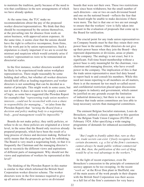to maintain the tradition, partly because of the need to win that confidence in the new arrangements of which we have already spoken.

At the same time, the TUC make no recommendations about the pay of the proposed worker director/representatives. We think that they should be recompensed by the unions themselves, at the prevailing rate for absence from work on union business, with approved union expenses. At the same time, it seems clear that the unions should have the right to collective recompense, from firms, for the work put in by union representatives. Such a stipulation is clearly important if we are to avoid the mistrust and suspicion which would certainly arise if workers' representatives were to be remunerated on directorial scales.

In the first instance, worker directors would all be likely to be experienced trade union workplace representatives. There might reasonably be some holding dual office, but whether all worker directors should hold office as leading negotiators *and* worker directors is not something that can be decided as a matter of principle. This might work in some cases, but not in others. It does not seem to be simply a matter of logic, as some have suggested (the Plowden Report for example) that *"representing trade union members interests…could not be reconciled with even a share in responsibility for managing…"* or (also from the Plowden Report) that *"turning the Board from a decision and policy making body to a negotiating body…good management would be impossible."*

Boards do not make policy; they ratify policies, or refuse to do so; these policies are originated at a lower level, in the sense that the Board only receives already prepared proposals, which have been the result of a long process of choice and decision making. Refusal to ratify means that the proposals go back for rethinking. The Board is very much a negotiating body, in that it is frequently the Chairman and the managing director's task to reconicle the different views and aspirations of different parts of management. Why should not the views and aspirations of workers be represented at this level?

The thinking of the Plowden Report in this matter is similar to that which informed the British Steel Corporation worker director scheme. The worker directors were in the first instance required to give up all union office and even to serve on divisional

boards that were not their own. These two restrictions have since been withdrawn; but the small number of such directors—one or two on each divisional board and one on the national board—reflects the fear that the board might be unable to make decisions if there were more. The fact is that one or two are not enough to ensure that the workers' view is fully taken into account in the evaluation of proposals that come up to the Board for ratification.

The crucial point for any trade union representatives on Company boards must be that they retain their own power base in the union. Other directors do not give up their power bases when they join the Board—they represent departments or divisions, areas or plants in the company. The analogy is not exact, but it is significant. Full-time board membership without a power base is only meaningful for the chairman, vicechairman and managing director, who have overall power in the company. The implication of this is that the trade union representative must feel duty bound to report back to and consult his members. While this need not mean reporting to all members on all matters, there is at the moment far too much so-called secret and confidential restriction placed upon discussions and papers in industry and government, which cannot be justified on any grounds except the limitation of industrial democracy; but there is in any case no evidence that trade union committees are less able to keep necessary secrets than managerial committees.

The eminent Belgian Socialist statesman, Louis de Brouckere, outlined a classic approach to this question for the Belgian Trade Union Congress (FGTB) of February 1924. After specifying a wide ranging programme of demands for enhanced accountability, he said:

*"But I ought to frankly admit that, rare as they are, trade secrets can exist. I freely recognise that certain documents, e.g. a list of the firm's customers, cannot always be made public without commercial risk. But, then, the publication of this sort of thing would be of no real advantage to the workers."*

In the light of recent experience, even De Brouckere's concession to the principle of commercial secrecy appears to be too sweeping. At the recent *"work on"* at the River Don plant in Sheffield, one of the main assets of the work people in their dispute with the British Steel Corporation was their access to a full list of the firm's customers for very heavy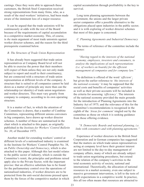castings. Once they were able to approach these customers, the British Steel Corporation received strong representations from many firms, who, as a result of the steel-workers' initiatives, had been made aware of the imminent loss of a major resource.

It can be argued that the trade unionists will be continuously at odds with the rest of the Board because of the requirements of capital accumulation in a competitive market economy. This, of course, is *the* main argument of most trade unionists against worker director schemes, and the reason for the third prerequisite examined below.

#### *B. The Structure of Trade Union Representation*

It has already been suggested that trade union representatives at Company Board level will not be able to exercise the power that their members will expect of them unless they are not only made subject to report and recall to their constituency, but are connected with a structure of trade union representation at different levels of the company. A structure that is suited to all companies cannot be laid down as a matter of principle any more than can the relationahip (or identity) of trade union negotiators and worker directors. This must vary greatly from company to company, according to its own operating structure.

It is a matter of fact, to which the attention of the Committee is drawn, that a number of Combine Commitees, representing different unions convenors in big companies, have drawn up worker director schemes. A number of these are summarised in the chart which is attached to this paper, as originally published in the *Institute for Workers' Control Bulletin No. 30*, of December 1975.

Another model for extending workers' control at different levels of a nationalised industry is examined in the Institute for Workers' Control Pamphlet No. 38, on *Public Ownership and Democracy*, which is also attached to this paper. Although this last model relates to the public sector of industry, which is outside the Committee's remit, the principles and problems raised apply also to the Private Sector, with the important proviso: that an effective substitute has to be found for the parliamentary control over the operations of nationalised industries, if worker directors are to be protected from the anti-social decisions pressed upon them by the forces of the competitive market in which capital accumulation through profitability is the key to survival.

Long term planning agreements between the government, the unions and the larger private sector companies offer a possible alternative to the obligations placed upon industries in the public sector; and it is with exploring of worker director schemes that most of this paper is concerned.

#### *C. Planning Agreements and Industrial Democracy*

The terms of reference of the committee include the sentence:

*"Having regard to the interests of the national economy, employees, investors and consumers, to analyse the implications of such representations (i.e. of workers on boards) for the efficient management of companies and for company law."*

No definition is offered of the word *'efficient'*, but given the earlier reference to *'the interests of the national economy'* it may be supposed that the social costs and benefits of companies' activities as well as their private accounts will be included in the criteria for assessing *'efficiency'*. The interests of the national economy provided the main grounds for the introduction of Planning Agreements into the Industry Act of 1975; and the relevance of this for the Committee's recommendations is recognised in the eighth of the *'Areas for comment'* singled out by the committee as those on which it is seeking guidance from those offering evidence.

#### *"8. Democratic Boards and national planning, i.e. links with consumers and with planning agreements."*

Experience of worker directors in the British Steel Corporation and in German companies has suggested that the matters on which trade union representatives acting at company level have their greatest interest are not limited to the day-to-day management of company affairs, many of which are already subject to trade union negotiating procedures, but extend to the relation of the company's activities to the total economic activity of society, national and international. Theoretically, the allocation of national resources in a market economy, even one subject to massive government intervention, is left to the tests of profit expectations in a comptitive world. In practice, this all too often means that resources are attracted to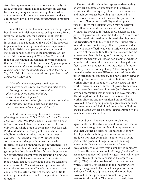firms having monopolistic positions and are subject to large companies' trans-national movements effected by transfer pricing and investment policies, which are not revealed by company managements and are exceedingly difficult for even governments to monitor and control.

It is well-known that the major matters that go up to board level in British companies, or Supervisory Board level on the continent, for decision, or at least for ratification, concern just such policies of pricing and investment. The adoption by the TUC of the proposal to place trade union representatives on supervisory boards for British companies, on the continental European model, recognises the importance of this area of decision-making at *'Board level'*. The wide range of information on company forward planning that the TUC believes to be necessary *"if participation in management decision-making is to become a reality"* confirms the importance attached (see para. 78, p33 of the TUC statement of Policy on *Industrial Democracy*, May 1975):

*"Details of new enterprises and locations, prospective close-downs, mergers and take-overs; Trading and sales plans, production plans, investment plans, including research and development;*

*Manpower plans, plans for recruitment, selection and training, promotion and redeployment; short-time and redundancy provisions."*

One trade union's attempt to set out a *'model planning agreement'* (*"The Crisis in British Economic Planning"*: ASTMS 1975) made it clear that all such information would have to be made available, not only for the whole group of companies, but for each Product division, for each plant, for subsidiaries, wholly or partly controlled, and for investment overseas. The *Industry Act*, 1975, refers to the *'relevant undertakings'* of companies for which information can be required by the government. The breakdown of this information by plants, divisions and geographical locations will be of crucial importance for government control over the transfer pricing and investment policies of companies. But the further requirement that such information shall be furnished under the Act to *"the authorised representative of each relevant trade union"* is of crucial importance equally for the safeguarding of the postion of trade union representatives elected to the position of worker directors.

The fear of all trade union representatives acting as worker directors of companies in the private sector, and the fear equally of active trade unionists and their colleagues becoming thus involved in company decisions, is that they will be put into the position of having responsibility without power responsibility for decisions which may be harmful as well as beneficial for their members' interests, without the power to influence those decisions. The power of government under the Industry Act to require disclosure of information on forward planning both to the Department of Industry and to the Unions offers to worker directors the only effective guarantee that they will have effective power to influence decisions. (It offers at the same time the only sure check for the government that it is being told the truth; only the workers themselves will know, for example, whether a product, the price of which has been changed, is in fact a different product and not the object of a purely arbitrary transfer pricing change.) The strength of the links that exist between different levels of the trade union structure in companies, and particularly between the shop-floor representative at the bottom and the worker director at the top, will alone ensure that the worker director has a firm base of power from which to represent his members' interests (and also to correct any misinformation that is supplied to government). The strength of the links that exist between the worker directors and their national union officials involved in drawing up planning agreements between the government and individual companies will alone ensure that the worker directors' representation of the members' interests is effective.

It could be an important aspect of planning agreements that the Minister should invite workers in companies through their trade union representatives and their worker directors to submit plans for new developments, including new locations and new products, for their companies; and to join in some parts of the process of negotiation on planning agreements. Once again the structure for such involvements would vary from company to company. Dr. Stuart Holland in his book, *Strategy for Socialism* has made a number of valuable suggestions, which the Committee might wish to consider. He argues *inter alia* (p.72ff) that the problem of corporate secrecy, which is heavily safeguarded in the Industry Act is greatly exaggerated. The actual designs, formulas and specifications of products and the know-how involved in their production are not likely to be matters for discussion. The point has already been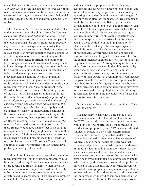made that much information, which is now marked as *'confidential'* is given this category not because of any real commercial necessity, but because an authoritarian system of company management has prevailed, which it is precisely the purpose of industrial democracy to replace.

The Committee's terms of reference include links with consumers under the eighth 'Area for Comment': *Democratic Boards and National Planning*. This is an important question, and it is an important part of the lessons that may be drawn from recent Yugoslav experience of self-management in industry that worker-owned and worker-controlled companies are just as capable as private capitalist owned companies are of using monopolistic positions to exploit the public. The emergence in Britain of a number of large companies, in which workers and management colluded in exploiting monopoly questions, could not be a desirable outcome of measures for establishing industrial democracy. One corrective for such a development is again the system of planning agreements, involving the government and national trade unions as well as the companies and trade union representatives in them. A major argument in the Plowden Report for rejecting the bipartite proposals of the TUC (50:50 management-union Boards) for the Public Sector is that a *"monopoly supplier of an essential product particularly needs the injection of consumer views and experience gained outside the industry."* What goes for electricity supply could be applied to firms with monopolistic positions in the private sector. It seems a somewhat implausible argument, however, that the presence of directors on Boards injecting *"experience gained outside the industry"* into the decision making processes of these Boards would have much effect in moderating monopolistic powers. They might even collude in their perpetuation, if their experience outside industry was in supplying plant and machinery to the Boards, as it often is. The activities of Consumer Councils and the enquiries of Select Committees of Parliament have probably a much greater effect.

It should not, however, be assumed that trade union representatives on Boards of large companies would be so inclined to forget that they are consumers as well as producers. The financial gains to them from the exercise of monopolistic positions will not be likely to be on the same scale as those accruing to other directors and to shareholders. There remains a problem to which the Committee will have to give thought;

and this is that the proposals both for planning agreements and for worker directors tend to be related to the situation of very large, often transnationally operating companies. One of the main advantages of having worker directors on boards of these companies might be that investment in British plant for the British market would tend to get a higher priority than heretofore. These companies are, nevertheless, those where productivity is highest and wages are highest. Workers in other firms with lower productivity and those in non-productive industries look for wages equal to those available in the high productivity plants; and the tendency is for average wages over the whole country to rise above the average level of productivity. Government incomes policies and taxation policies are designed to transfer surplus from the capital intensive high productivity sector to sustain employment elsewhere. A strengthening of the unity of workers and management in the high productivity sector could, even under a regime of planning agreements with government, result in making the transfer of their surplus an even more difficult measure for governments to effect. Owners of capital may be restrained from transferring capital overseas by their worker directors. Those earning high wages may have to be encouraged to accept high rates of taxation by government decentralising the collection of taxes and the control over its expenditure.

#### *D. Information Flows Must Be Available for Wider Planning Purposes*

It is necessary to ask what would be the overall macroeconomic effect of the full implementation of the TUC's proposals. In a nutshell, the private sector would, unless it were affected by other measures besides those proposed by the TUC, become a diluted syndicalist sector, in which joint determination replaced the traditional syndicalist model of sole trade union industrial government. The weakness of syndicalism as a model social structure was that it remained subject to the established industrial division of labour as determined in the market-place. Yet the social inadequacies of a market-dominated society were themselves a major cause of the discontent which gave rise to syndicalism itself as a protest movement. Whilst some syndicalists were aware of the problems involved in this difficulty, the syndicalist movement as a whole never propounded any convincing solution to them. Almost all historians agree that this is one of the main reasons why syndicalism was eclipsed after the communist revolution in Russia, although no-one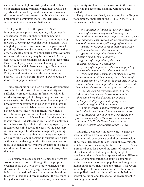can doubt, in the light of history, that on the plane of libertarian considerations, which must always be significant for any truly vital trade union movement, this represented a real regression. In what became the predominant communist model, the democratic baby was put out with the market bathwater.

Today, in the light of the growth of State intervention in capitalist economies, it is eminently conceivable, at least in theory, that democratic planning mechanisms could evolve, combining a large measure of workplace organizational autonomy with a high degree of effective assertion of agreed social priorities. There is today no reason why blind market criteria should continually circumscribe whatever areas of industrial democracy may be developed. Actively deployed, such mechanisms as the National Enterprise Board, employing such tools as planning agreements, in the form in which these were originally conceived by the architects of the Labour Party's Industrial Policy, could provide a powerful countervailing authority in which harmful market powers could be dissolved in popular choices.

But a precondition for such a positive development would be that the principle of accountability were sufficiently broadly defined. Information which is needed by workpeople for bargaining purposes is even more needed for planning purposes. For example, if productivity negotiations in a series of key plants in a given area result in labour economies this creates a restriction of future job opportunities, which is often far more painful for the local community than any readjustments which are internal to the existing labour forces. If disclosure is restricted to employees on the basis solely of their rights in employment, then it cannot possibly become the basis of the necessary information input for democratic regional planning. But if trade unions are able to correlate the reports on likely future labour demand in various key plants within a particular region, then they are in a position to raise demands for alternative investment in time to avoid harmful downturns in employment prospects in that area.

Disclosure, of course, must be a personal right for workers, to be exercised through their appropriate organizations. But it will be a sadly restricted right if it cannot be collectively agglomerated at the local, industrial and national levels to permit trade unions to act with insight and foreknowledge. If disclosure is hedged about with negative restriction, then a major

opportunity for democratic innovation in the process of social and economic planning will have been wasted.

The problem was clearly understood by the Belgian trade unions, organized in the FGTB, in their 1971 programme on *Workers' Control*.

*"The question of liaison between the factory councils of various companies (exchange of information, inter-company comparisons, etc…) must be brought up. This problem of liaison arises in the economic sphere on the following different levels:*

*—groups of companies manufacturing similar goods and situated in the same area…*

*—groups of companies dominated by a holding or a parent company…*

*—groups of companies of the same industrial sector (e.g. Metallurgy):*

*—groups of companies of the same region (e.g. the case of companies in a depressed area).*

*"When economic decisions are taken at a level higher than that of the company (e.g. the case of companies run by a holding) the usefulness of links which enable economic problems to be raised at the level where decisions are really taken is obvious.*

*"It would also be very convenient to forge links at the level where decisions should be taken and where this does not yet happen. Such a possibility is particulary urgent as regards the regional labour market.*

*"In other words, a simple vertical liaison with the Trades Council (which in any case has never been established) is not enough considering the present complexity of the network of economic relations." (A Trade Union Strategy in the Common Market: Spokesman Books, 1971.)*

Industrial democracy, in other words, cannot be seen in isolation from either the effectiveness of social controls over private capital or the extension of political democracy to local units of government, which seem to be meaningful for local citizens. Such a proposal goes far beyond the terms of reference of the Committee; but the possibility might be considered that trade union representation at different levels of company structures could be combined with representation of local populations living in the neighbourhood of plants and enterprises. This would not only provide some check on the exploitation of monopolistic positions; it would certainly help to control pollution and damage to the environment in that neighbourhood.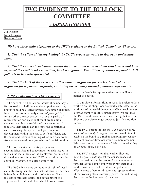# <span id="page-26-0"></span>**IWC Evidence to the Bullock Committee**

## *A Dissenting View*

**Joe Keenan Nina Fishman Richard Jones**

*We have three main objections to the IWC's evidence to the Bullock Committee. They are:*

*1. That the effect of 'strengthening' the TUC's proposals would in fact be to undermine them.*

*2. That the current controversy within the trade union movement, on which we would have expected the IWC to take a position, has been ignored. The attitude of unions opposed to TUC policy is in fact misrepresented.*

*3. That the bulk of the evidence, rather than an argument for workers' control, is an argument for tripartite, corporate, control of the economy through planning agreements.*

*1. 'Strengthening' the TUC Proposals*

The core of TUC policy on industrial democracy is its proposal that half the membership of supervisory boards should be elected through trade union channels. In our view this is the only *essential prerequisite* for a worker-director system. As long as parity of representation and election through trade union channels are clearly established the structures of industrial democracy can facilitate the constructive use of working class power and give impetus to development within the class of self confidence and the habit and reflexes of ruling which can only come from experience of policy-making and decision-taking.

The IWC's evidence treats parity as an accomplished fact and concentrates on side issues. In fact, as the main thrust of the employers' argument is directed against this central TUC proposal, it must be continually asserted or quite possibly fall.

The IWC's insistence on the *formal* right of recall can only strengthen the idea that industrial democracy is fraught with dangers and is to be feared. Such insistence militates against the development of a vigorous self confident class which knows its own

mind and bends its representatives to its will as a matter of course.

In our view a formal right of recall is useless unless workers on the shop floor are vitally interested in the workings of industrial democracy. Given such interest a *formal* right of recall is unnecessary. We feel that the IWC should concentrate on ensuring that worker directors exercise enough power to justify shop floor interest.

The IWC's proposal that the *'supervisory board… need not be a body in regular session'* would tend to establish the board as a rubber stamping irrelevance on which worker directors would be mere ornaments. Who needs to recall ornaments? Who cares what they do or more likely don't do?

The IWC's suggestion that worker directors must be *'protected'* against the consequences of decision-making and its proposal that community representatives should join worker represetnatives on the board also tend to reduce the potential effectiveness of worker directors as representatives of the working class exercising power for, and taking decisions in the interests of, the class.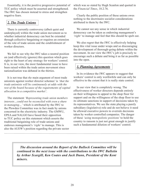Essentially, it is the positive progressive potential of TUC policy which must be asserted and strengthened. The IWC has chosen instead to stress and strengthen negative fears.

#### *2. The Trade Unions*

There is currently controversy (albeit quiet and underplayed) within the trade union movement as to whether industrial democracy can best be extended through collective bargaining or requires an extension of the role of trade unions and the establishment of worker directors.

We fail to see why the IWC takes a neutral position on (and effectively ignores) this question which goes right to the heart of any strategy for workers' control. It is, in our view, the most fundamental issue to have been raised within the trade union movement since nationalisation was debated in the thirties.

It is not true that *the* main argument of most trade unionists against worker director schemes' is *'that the trade unionists will be continuously at odds with the rest of the board because of the requirements of capital allocation in a competitive market'*.

The statement *'Representing trade union members interests…could not be reconciled with even a share in managing…'* which is attributed by the IWC to the Plowden Committee was in fact made by unions concerned in the electricity industry. The GMWU, EPEA and NALGO have based their opposition to TUC policy on this statement which asserts the traditional bargaining role of trade unions and endorses management's *'right'* to manage. This is also the AUEW's position regarding the private sector which was so stated by Hugh Scanlon and quoted in the *Financial Times*, 18.2.76.

Clearly the public position of these unions owes nothing to the doctrinaire socialist considerations attributed to them by the IWC.

We cannot see any sense in which industrial democracy can be taken as endorsing management's *'right'* to manage and feel that this should be spelt out.

We also regret that the IWC is effectively helping keep this vital issue under wraps and so discouraging the development of thorough-going debate within the movement. In our view the IWC's job is precisely to encourage such a debate and bring it as far as possible into the open.

#### *3. Planning Agreements*

In its evidence the IWC appears to suggest that workers' control is only worthwhile and can only be effective to the extent that it is really state control.

In our view that is completely wrong. The effectiveness of worker directors depends entirely on their willingness to appeal to the shop floor for support and on the willingness of the shop floor to use its ultimate sanctions in support of decisions taken by its representatives. We see the state playing a purely subsidiary (legislative) role and do not believe it need be allowed executive powers to overrule decisions taken by worker controlled companies. The danger of these *'using monopolistic positions'* to hold the country to ransom is just not great enough to justify such a fundamental dilution of workers' control.

*The discussion around the Report of the Bullock Committee will be continued in the next issue with the contributions to the IWC Bulletin by Arthur Scargill, Ken Coates and Jack Dunn, President of the Kent miners.*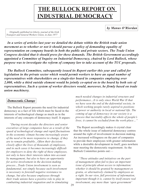# **The Bullock Report On IndUstrial Democracy**

*by Manus O'Riordan*

<span id="page-28-0"></span>*Originally published in Liberty, journal of the Irish Transport and General Workers Union, in June 1977*

*In a series of articles last year we detailed the debate within the British trade union movement as to whether or not it should pursue a policy of demanding equality of representation on company boards in both the public and private sectors. The Trade Union Congress decided that it should press for these demands. The British Government accordingly appointed a Committee of Inquiry on Industrial Democracy, chaired by Lord Bullock, whose purpose was to investigate the reform of company law to take account of the TUC proposals.*

*The Bullock Committee, subsequently issued its Report earlier this year and called for legislation in the private sector which would permit workers to have an equal number of representatives with shareholders on a single-tier board in companies employing over 2,000, while a third outside element would be jointly co-opted on to the board by both sets of representatives. Such a system of worker directors would, moreover, be firmly based on trade union machinery.*

#### *Democratic Change*

The Bullock Report presents the need for industrial democracy as a fact of life which must be faced in the interests of technological change as much as in the interests of any concepts of democracy itself. It argues:

*"During recent decades the directors and senior executives of large companies have as a result of the speed of technological change and rapid fluctuations in the economic climate become increasingly aware of the need ot be more responsive to change, if they are to remain profitable…Often their decisions closely affect the lives of thousands of employees, and in such cases it becomes increasingly difficult for employers to deny the right of these employees, not only to have their interests taken into account by management, but also to have an opportunity for active involvement in the decision-making process…Trade Union involvement is seen as fundamental, not simply because such involvement is necessary to forestall negative resistance to change, but also because employees through their trade unions have a positive role to play in combatting industrial stagnation and in stimulating* 

*much needed changes in industrial structure and performance…It is only since World War II that we have seen the end of the deferential society, in which working people rarely aspired to positions of power or authority in local or national life. The coming of age of democracy in our society is a process that inevitably affects the whole of people's lives; it cannot be excluded from the work-place…"*

The Report accordingly makes it crystal clear that the whole issue of industrial democracy centres around the right of involvement in decision making. An increased willingness on the part of companies to provide their employees with greater information while a desirable development in itself, goes nowhere near meeting the democratic requirement. As the Bullock Committee points out:—

*"These attitudes and initiatives on the part of management often fail to face an important issue of principle about access to information: whether it should be granted by management ex gratia, or alternatively claimed by employees as a right. In our view, full provision of information, important though it is, cannot by itself ensure real involvement, any more than 'open government'*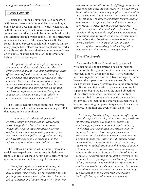*can guarantee political democracy."*

#### *Works Councils*

Because the Bullock Committee is so concerned with worker involvement in real decision-making at board-level, it does not mince its words when dealing with those who argue that board representation is *'premature'* and that it would be better to develop joint consultation through works councils or job enrichment schemes at the level of the shop-floor itself. The Report in fact expresses considerable surprise that so many people have placed so much emphasis on works councils and similar consultative committees and goes on to quote Johannes Schregle of the International Labour Office as stating:—

*"A rapid survey of the role played by works councils around the world shows that there is often disenchantment with their functioning…One of the reasons for this seems to be the lack of real decision-making powers possessed by most councils. Experience has shown that a purely advisory arrangement under which workers are given information and may express an opinion, but have no influence on whether this opinion is taken into account or not, is not likely to create much enthusiasm or even interest."*

The Bullock Report further quotes the Donovan Commission on Trade Unions as concluding in 1968 that consultative committees:—

*"…cannot survive the development of effective shopfloor organisation. Either they must change their character and become essentially negotiating committees carrying out functions which are indistinguishable from the processes of shop-floor bargaining, or they are boycotted by shop stewards and, as the influence of the latter grows, fall into disuse."*

The Bullock Committee while finding many job enrichment experiments meritorious in their own right, also feels that these do not get to grips with the question of industrial democracy. It comments:—

*"Such forms of direct participation as job rotation, job enlargement, job enrichment, autonomous work groups, work restructuring, and participative management styles, aim to increase job satisfaction and labour productivity by giving* 

*employees greater discretion in defining the scope of their jobs and deciding how these will be performed. Their potential for increasing employee participation and decision-making, however, is extremely limited. At worst, they are merely techniques for persuading employees to accept decisions which have already been made. At best, they give employees some control over job content and task performance. But they do nothing to enable employees to participate in decision-making which occurs at organisational levels above the shop-floor or to democratise the overall authority structure of a firm. In short, the area of decision-making in which they allow employee participation is extremely narrow."*

#### *Two-Tier Boards*

Because the Bullock Committee is concerned with democratising the strategic decision-making process of the firm, therefore, it recommends workers representation on company boards. The Committee, however, rejects the view that a two-tier legal division between the supervisory and management boards, such as exists in West Germany, should be introduced into Britain and that worker representation on such a supervisory board would meet the stated objectives of industrial democracy. In practice, as the Report points out, British company boards do delegate dayby-day decision-making to senior management while, however, retaining the power to question, to check, to approve. to monitor and even to initiate policy:—

*"…The top boards of large companies often play a mainly supervisory role, with overall responsibility for strategic policy, allocating resources and monitoring performances, and delegate authority for the detailed formulation and implementation of policy to a lower level: to specified senior executives, to a formal management committee, to a group of managers sitting as a divisional board or committee, or even to the board of a separately incorporated subsidiary. But such boards, of course, retain a power of initiative over decision-making which the German-style supervisory board does not possess…The advantage of the British system is that it cannot be easily categorised within the framework of law; companies may mould their organisations to suit their individual needs and a one-tier, two-tier or many-tiered system only operates when a company decides that such is the best form of structure for its efficient operation and management…*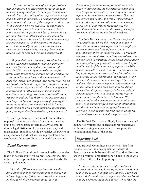*"…It seems to us that one of the major problems with a statutory two-tier system is that in its zeal to leave management free to manage, it sometimes severely limits the ability of the supervisory or top board to have an influence on company policy and to retain overall control of the company's affairs…In West Germany we were told that the supervisory board had the power to intervene effectively in major questions of policy and had given employees the opportunity to influence decisions about the company's future. But we also heard of the tendency in some companies for the supervisory board, on all but the really major issues, to become a reactive and passive body, meeting three or four times a year to hear reports from management.*

*"We fear that such a tendency would be increased if a two-tier board structure, with a supervisory board on the German model, was introduced into the U.K., especially if the sole reason for introducing it was to restrict the ability of employee representatives to influence the management…We hope that employees through their representatives on the board will have the opportunity to join in setting the framework of policy within which management operates and to influence decisions on major questions concerning investments, rationalisation, expansion and the like (but) we are not convinced that they will have this opportunity if their right to representation is on a board which is limited in the extent to which it can intervene in company policy or supervise the activities of management."*

To sum up, therefore, the Bullock Committee is opposed to the introduction of a statutory two-tier board system because it fears that any attempt to draw a legal distinction between supervisory and management functions would so restrict the powers of a supervisory board that worker representation on it would contribute very little to industrial democracy.

#### *Equal Representation*

The Bullock Committee is just as hostile to the view that it is not necessary for workers and shareholders to have equal representation on company boards. The Report points out:—

*"A study of European experience shows the difficulties employee representatives encounter in influencing policy if they can always be outvoted by the shareholder representatives. It is not* 

*simply that if shareholder representatives are in a majority they can decide the extent to which they wish to ignore, take note of, or act upon the views expressed by employee representatives. They can also devise and control the framework of policymaking: the appointment of senior management; delegation of authority to management; the procedures of the board and the arrangement for provision of information to board members.*

*"In both West Germany and Sweden we found for example that where they were in a minority vis-a-vis the shareholder representatives employee representatives had little influence on the appointments of senior management…(In Sweden) employee representatives had little control over the composition of committees of the board, particularly the powerful drafting committees where much of the detailed work of the board was prepared: on 70% of such committees employees were not represented. Employee representatives also found it difficult to gain access to the information they needed to take informed decisions at board meetings. There was evidence that in some companies information was not available to board members until the day of the meeting. Professor Fogarty in his analysis of German experience with unequal representation found similar trends to those in Sweden: 'It is common to find that employee representatives are once again kept away from sources of information, that the old technique of assigning important decisions to sub-committees from which employee representatives are excluded is again in use."*

The Bullock Report accordingly insists on an equal number of workers and shareholder representatives, with each having an equal voice in co-opting the remaining members of the board.

#### *Reporting Back*

The Bullock Committee also believes that firm foundations for the development of industrial democracy can only be established if worker directors are in a position to regularly report back to those who have elected them. The Report argues:—

*"It is essential to the success of board level representation that employee representatives should be in close touch with their constituents. They must make it their regular job to report on what the board is doing or proposing to do and why. They must be*